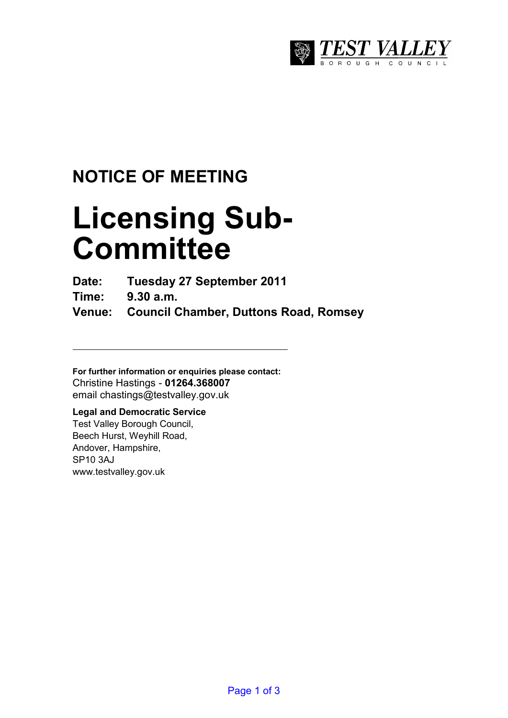

## **NOTICE OF MEETING**

# **Licensing Sub-Committee**

**Date: Tuesday 27 September 2011** 

**Time: 9.30 a.m.** 

**Venue: Council Chamber, Duttons Road, Romsey** 

**For further information or enquiries please contact:**  Christine Hastings - **01264.368007** email chastings@testvalley.gov.uk

### **Legal and Democratic Service**

Test Valley Borough Council, Beech Hurst, Weyhill Road, Andover, Hampshire, SP10 3AJ www.testvalley.gov.uk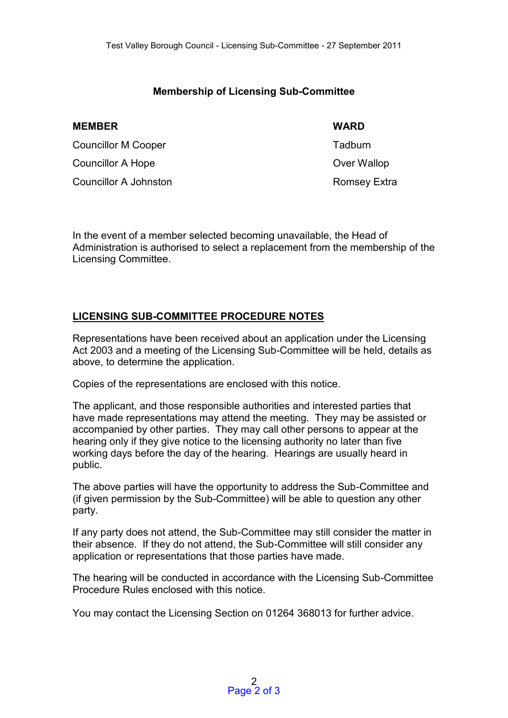#### **Membership of Licensing Sub-Committee**

| <b>MEMBER</b>              | <b>WARD</b>  |
|----------------------------|--------------|
| <b>Councillor M Cooper</b> | Tadburn      |
| Councillor A Hope          | Over Wallop  |
| Councillor A Johnston      | Romsey Extra |

In the event of a member selected becoming unavailable, the Head of Administration is authorised to select a replacement from the membership of the Licensing Committee.

#### **LICENSING SUB-COMMITTEE PROCEDURE NOTES**

Representations have been received about an application under the Licensing Act 2003 and a meeting of the Licensing Sub-Committee will be held, details as above, to determine the application.

Copies of the representations are enclosed with this notice.

The applicant, and those responsible authorities and interested parties that have made representations may attend the meeting. They may be assisted or accompanied by other parties. They may call other persons to appear at the hearing only if they give notice to the licensing authority no later than five working days before the day of the hearing. Hearings are usually heard in public.

The above parties will have the opportunity to address the Sub-Committee and (if given permission by the Sub-Committee) will be able to question any other party.

If any party does not attend, the Sub-Committee may still consider the matter in their absence. If they do not attend, the Sub-Committee will still consider any application or representations that those parties have made.

The hearing will be conducted in accordance with the Licensing Sub-Committee Procedure Rules enclosed with this notice.

You may contact the Licensing Section on 01264 368013 for further advice.